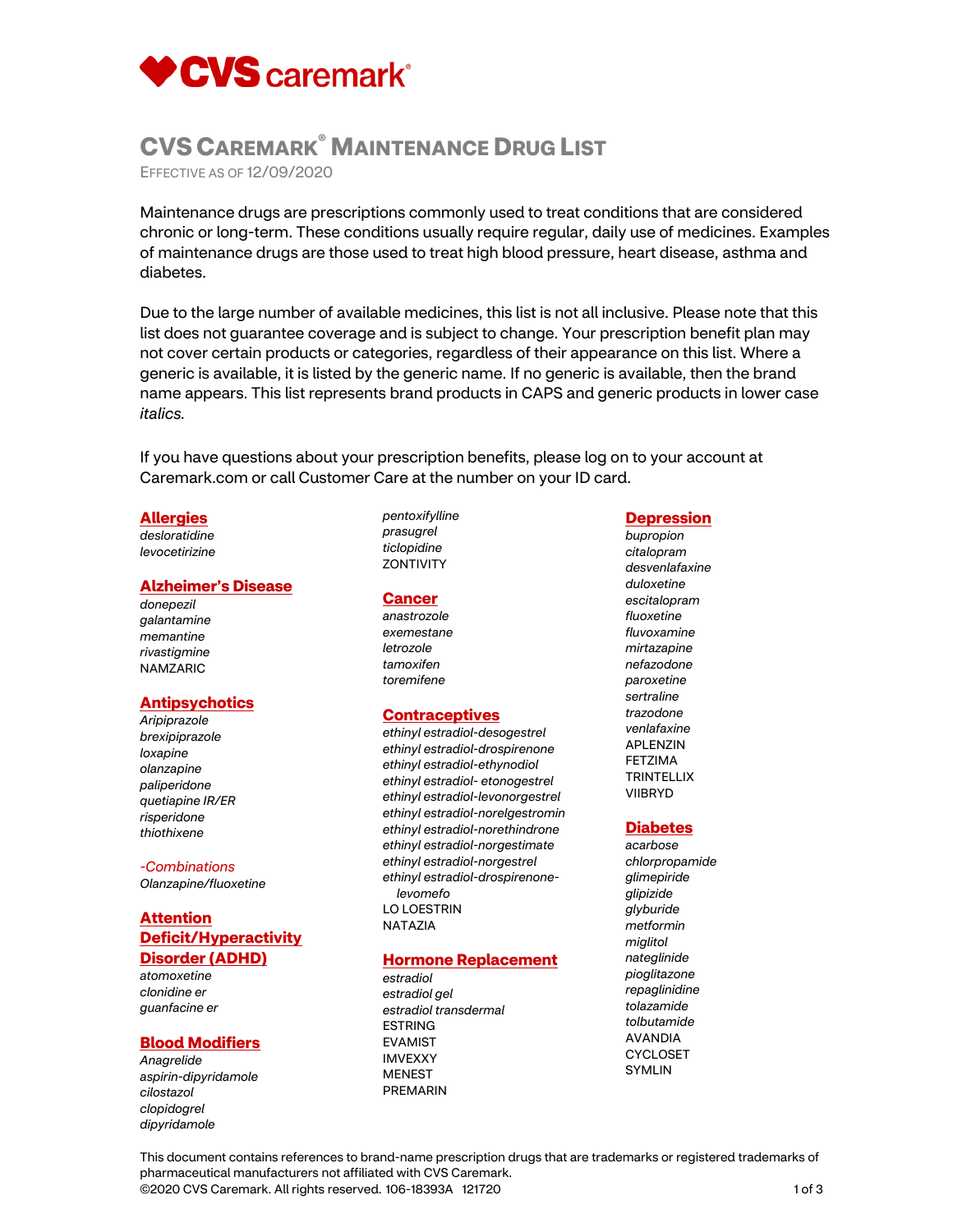

# **CVS CAREMARK® MAINTENANCE DRUG LIST**

EFFECTIVE AS OF 12/09/2020

Maintenance drugs are prescriptions commonly used to treat conditions that are considered chronic or long-term. These conditions usually require regular, daily use of medicines. Examples of maintenance drugs are those used to treat high blood pressure, heart disease, asthma and diabetes.

Due to the large number of available medicines, this list is not all inclusive. Please note that this list does not guarantee coverage and is subject to change. Your prescription benefit plan may not cover certain products or categories, regardless of their appearance on this list. Where a generic is available, it is listed by the generic name. If no generic is available, then the brand name appears. This list represents brand products in CAPS and generic products in lower case *italics.*

If you have questions about your prescription benefits, please log on to your account at Caremark.com or call Customer Care at the number on your ID card.

# **Allergies**

*desloratidine levocetirizine* 

### **Alzheimer's Disease**

*donepezil galantamine memantine rivastigmine* NAMZARIC

# **Antipsychotics**

*Aripiprazole brexipiprazole loxapine olanzapine paliperidone quetiapine IR/ER risperidone thiothixene* 

### *-Combinations*

*Olanzapine/fluoxetine* 

# **Attention Deficit/Hyperactivity Disorder (ADHD)**

*atomoxetine clonidine er guanfacine er* 

# **Blood Modifiers**

*Anagrelide aspirin-dipyridamole cilostazol clopidogrel dipyridamole* 

### *pentoxifylline prasugrel ticlopidine*  **ZONTIVITY**

# **Cancer**

*anastrozole exemestane letrozole tamoxifen toremifene* 

# **Contraceptives**

*ethinyl estradiol-desogestrel ethinyl estradiol-drospirenone ethinyl estradiol-ethynodiol ethinyl estradiol- etonogestrel ethinyl estradiol-levonorgestrel ethinyl estradiol-norelgestromin ethinyl estradiol-norethindrone ethinyl estradiol-norgestimate ethinyl estradiol-norgestrel ethinyl estradiol-drospirenonelevomefo*  LO LOESTRIN NATAZIA

# **Hormone Replacement**

*estradiol estradiol gel estradiol transdermal*  ESTRING EVAMIST IMVEXXY MENEST PREMARIN

# **Depression**

*bupropion citalopram desvenlafaxine duloxetine escitalopram fluoxetine fluvoxamine mirtazapine nefazodone paroxetine sertraline trazodone venlafaxine*  APLENZIN FETZIMA **TRINTELLIX** VIIBRYD

### **Diabetes**

*acarbose chlorpropamide glimepiride glipizide glyburide metformin miglitol nateglinide pioglitazone repaglinidine tolazamide tolbutamide*  AVANDIA CYCLOSET SYMLIN

This document contains references to brand-name prescription drugs that are trademarks or registered trademarks of pharmaceutical manufacturers not affiliated with CVS Caremark. ©2020 CVS Caremark. All rights reserved. 106-18393A 121720 1 of 3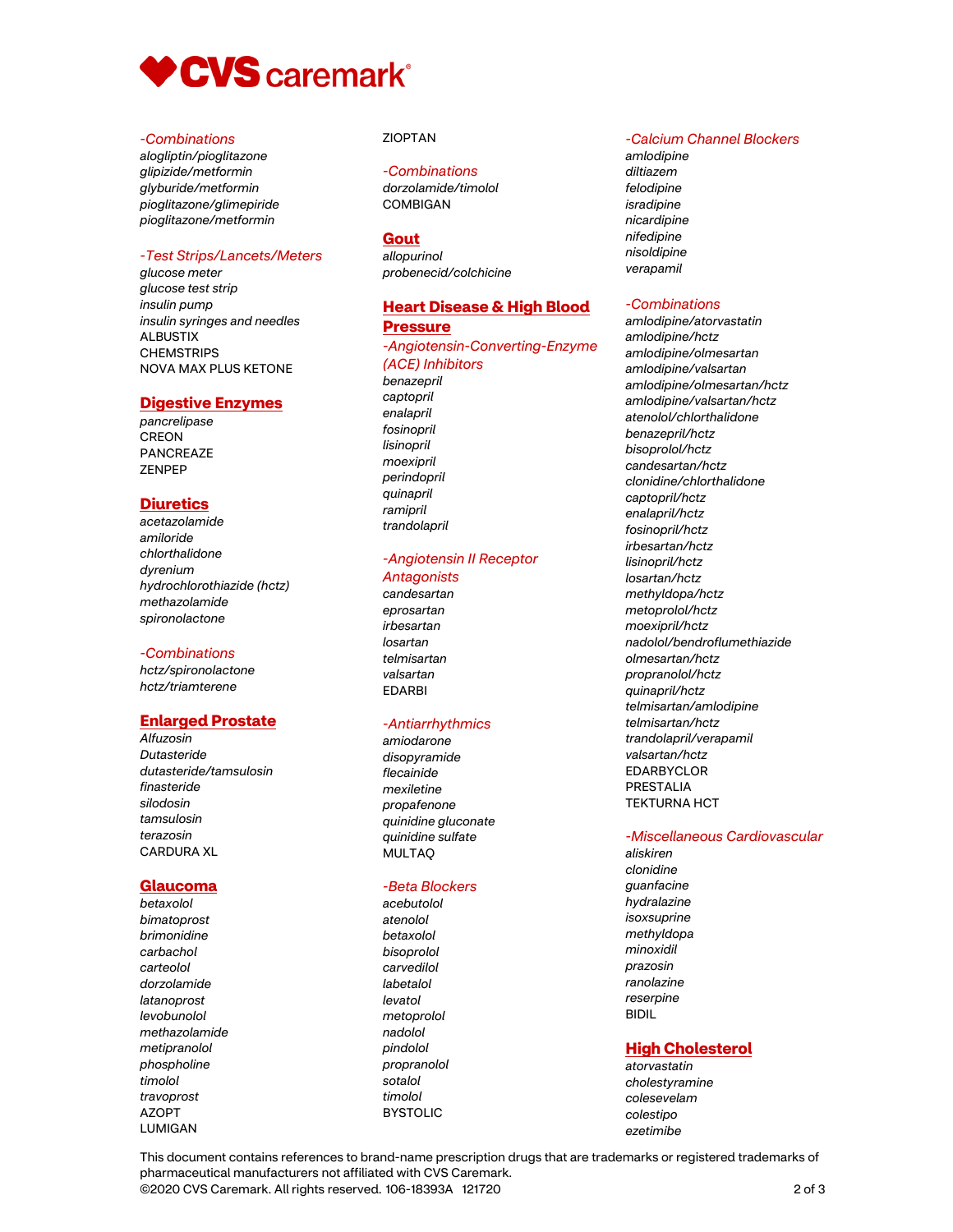

### *-Combinations*

*alogliptin/pioglitazone glipizide/metformin glyburide/metformin pioglitazone/glimepiride pioglitazone/metformin* 

# *-Test Strips/Lancets/Meters*

*glucose meter glucose test strip insulin pump insulin syringes and needles*  ALBUSTIX **CHEMSTRIPS** NOVA MAX PLUS KETONE

# **Digestive Enzymes**

*pancrelipase*  CREON PANCREAZE ZENPEP

# **Diuretics**

*acetazolamide amiloride chlorthalidone dyrenium hydrochlorothiazide (hctz) methazolamide spironolactone* 

# *-Combinations*

*hctz/spironolactone hctz/triamterene* 

# **Enlarged Prostate**

*Alfuzosin Dutasteride dutasteride/tamsulosin finasteride silodosin tamsulosin terazosin*  CARDURA XL

# **Glaucoma**

*betaxolol bimatoprost brimonidine carbachol carteolol dorzolamide latanoprost levobunolol methazolamide metipranolol phospholine timolol travoprost*  AZOPT LUMIGAN

# ZIOPTAN

# *-Combinations*

*dorzolamide/timolol*  COMBIGAN

# **Gout**

*allopurinol probenecid/colchicine* 

# **Heart Disease & High Blood Pressure**

*-Angiotensin-Converting-Enzyme (ACE) Inhibitors benazepril captopril enalapril fosinopril lisinopril moexipril perindopril quinapril ramipril* 

# *-Angiotensin II Receptor*

### *Antagonists*

*trandolapril* 

*candesartan eprosartan irbesartan losartan telmisartan valsartan*  EDARBI

### *-Antiarrhythmics*

*amiodarone disopyramide flecainide mexiletine propafenone quinidine gluconate quinidine sulfate*  MULTAQ

### *-Beta Blockers*

*acebutolol atenolol betaxolol bisoprolol carvedilol labetalol levatol metoprolol nadolol pindolol propranolol sotalol timolol*  BYSTOLIC

# *-Calcium Channel Blockers*

*amlodipine diltiazem felodipine isradipine nicardipine nifedipine nisoldipine verapamil* 

### *-Combinations*

*amlodipine/atorvastatin amlodipine/hctz amlodipine/olmesartan amlodipine/valsartan amlodipine/olmesartan/hctz amlodipine/valsartan/hctz atenolol/chlorthalidone benazepril/hctz bisoprolol/hctz candesartan/hctz clonidine/chlorthalidone captopril/hctz enalapril/hctz fosinopril/hctz irbesartan/hctz lisinopril/hctz losartan/hctz methyldopa/hctz metoprolol/hctz moexipril/hctz nadolol/bendroflumethiazide olmesartan/hctz propranolol/hctz quinapril/hctz telmisartan/amlodipine telmisartan/hctz trandolapril/verapamil valsartan/hctz*  EDARBYCLOR PRESTALIA TEKTURNA HCT

### *-Miscellaneous Cardiovascular*

*aliskiren clonidine guanfacine hydralazine isoxsuprine methyldopa minoxidil prazosin ranolazine reserpine*  BIDIL

# **High Cholesterol**

*atorvastatin cholestyramine colesevelam colestipo ezetimibe* 

This document contains references to brand-name prescription drugs that are trademarks or registered trademarks of pharmaceutical manufacturers not affiliated with CVS Caremark. ©2020 CVS Caremark. All rights reserved. 106-18393A 121720 2 of 3